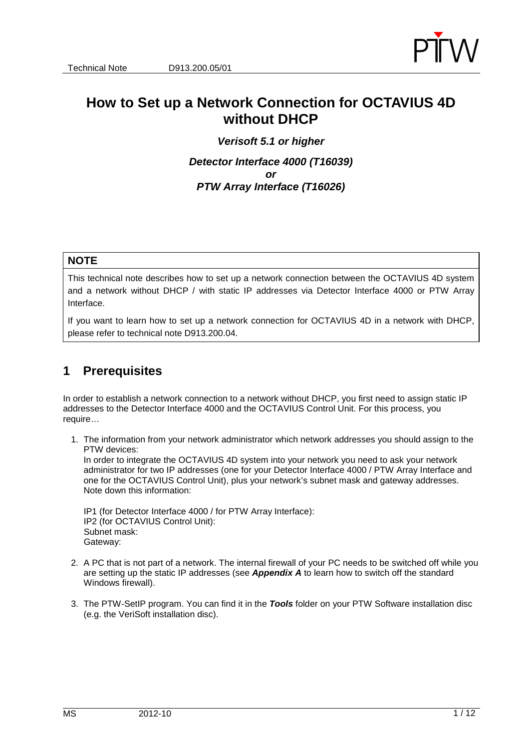

# **How to Set up a Network Connection for OCTAVIUS 4D without DHCP**

**Verisoft 5.1 or higher Detector Interface 4000 (T16039) or PTW Array Interface (T16026)** 

#### **NOTE**

This technical note describes how to set up a network connection between the OCTAVIUS 4D system and a network without DHCP / with static IP addresses via Detector Interface 4000 or PTW Array Interface.

If you want to learn how to set up a network connection for OCTAVIUS 4D in a network with DHCP, please refer to technical note D913.200.04.

## **1 Prerequisites**

In order to establish a network connection to a network without DHCP, you first need to assign static IP addresses to the Detector Interface 4000 and the OCTAVIUS Control Unit. For this process, you require…

1. The information from your network administrator which network addresses you should assign to the PTW devices:

In order to integrate the OCTAVIUS 4D system into your network you need to ask your network administrator for two IP addresses (one for your Detector Interface 4000 / PTW Array Interface and one for the OCTAVIUS Control Unit), plus your network's subnet mask and gateway addresses. Note down this information:

IP1 (for Detector Interface 4000 / for PTW Array Interface): IP2 (for OCTAVIUS Control Unit): Subnet mask: Gateway:

- 2. A PC that is not part of a network. The internal firewall of your PC needs to be switched off while you are setting up the static IP addresses (see **Appendix A** to learn how to switch off the standard Windows firewall).
- 3. The PTW-SetIP program. You can find it in the **Tools** folder on your PTW Software installation disc (e.g. the VeriSoft installation disc).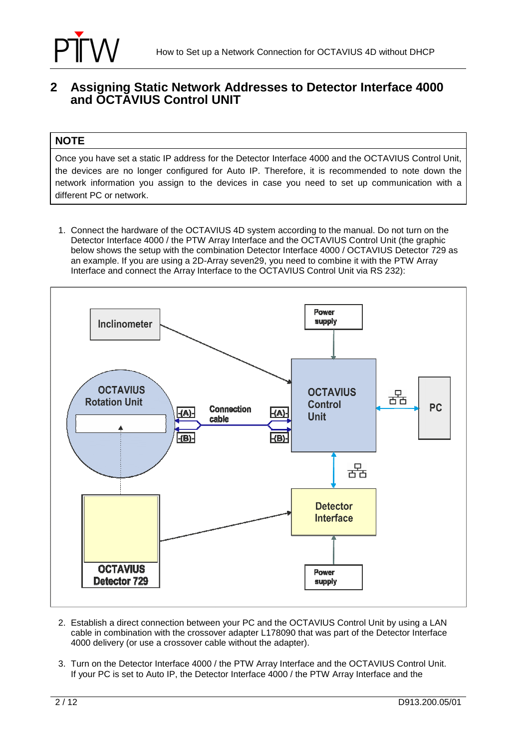

## **2 Assigning Static Network Addresses to Detector Interface 4000 and OCTAVIUS Control UNIT**

### **NOTE**

Once you have set a static IP address for the Detector Interface 4000 and the OCTAVIUS Control Unit, the devices are no longer configured for Auto IP. Therefore, it is recommended to note down the network information you assign to the devices in case you need to set up communication with a different PC or network.

1. Connect the hardware of the OCTAVIUS 4D system according to the manual. Do not turn on the Detector Interface 4000 / the PTW Array Interface and the OCTAVIUS Control Unit (the graphic below shows the setup with the combination Detector Interface 4000 / OCTAVIUS Detector 729 as an example. If you are using a 2D-Array seven29, you need to combine it with the PTW Array Interface and connect the Array Interface to the OCTAVIUS Control Unit via RS 232):



- 2. Establish a direct connection between your PC and the OCTAVIUS Control Unit by using a LAN cable in combination with the crossover adapter L178090 that was part of the Detector Interface 4000 delivery (or use a crossover cable without the adapter).
- 3. Turn on the Detector Interface 4000 / the PTW Array Interface and the OCTAVIUS Control Unit. If your PC is set to Auto IP, the Detector Interface 4000 / the PTW Array Interface and the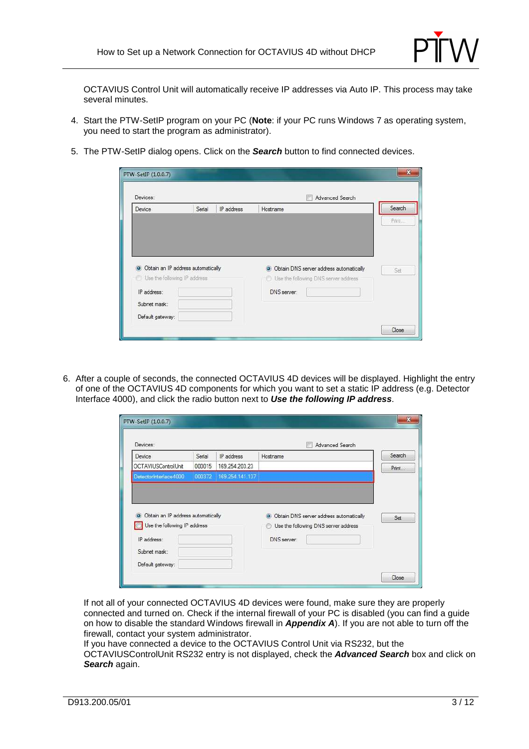

OCTAVIUS Control Unit will automatically receive IP addresses via Auto IP. This process may take several minutes.

- 4. Start the PTW-SetIP program on your PC (**Note**: if your PC runs Windows 7 as operating system, you need to start the program as administrator).
- 5. The PTW-SetIP dialog opens. Click on the **Search** button to find connected devices.

| Devices:<br>Advanced Search                                          |        |            |                                                                                   |        |  |
|----------------------------------------------------------------------|--------|------------|-----------------------------------------------------------------------------------|--------|--|
| Device                                                               | Serial | IP address | Hostname                                                                          | Search |  |
|                                                                      |        |            |                                                                                   | Print. |  |
|                                                                      |        |            |                                                                                   |        |  |
| O Obtain an IP address automatically<br>Use the following IP address |        |            | O Obtain DNS server address automatically<br>Use the following DNS server address | Set    |  |
| IP address:                                                          |        |            | DNS server:                                                                       |        |  |
| Subnet mask:                                                         |        |            |                                                                                   |        |  |

6. After a couple of seconds, the connected OCTAVIUS 4D devices will be displayed. Highlight the entry of one of the OCTAVIUS 4D components for which you want to set a static IP address (e.g. Detector Interface 4000), and click the radio button next to **Use the following IP address**.

| Devices:                                      |        |                 | Advanced Search                           |        |
|-----------------------------------------------|--------|-----------------|-------------------------------------------|--------|
| Device                                        | Serial | IP address      | Hostname                                  | Search |
| OCTAVIUSControlUnit                           | 000015 | 169.254.203.23  |                                           | Print  |
| Detectorinterface 4000                        | 000372 | 169.254.141.137 |                                           |        |
| Obtain an IP address automatically<br>$\circ$ |        |                 | O Obtain DNS server address automatically | Set    |

If not all of your connected OCTAVIUS 4D devices were found, make sure they are properly connected and turned on. Check if the internal firewall of your PC is disabled (you can find a guide on how to disable the standard Windows firewall in **Appendix A**). If you are not able to turn off the firewall, contact your system administrator.

If you have connected a device to the OCTAVIUS Control Unit via RS232, but the OCTAVIUSControlUnit RS232 entry is not displayed, check the **Advanced Search** box and click on **Search** again.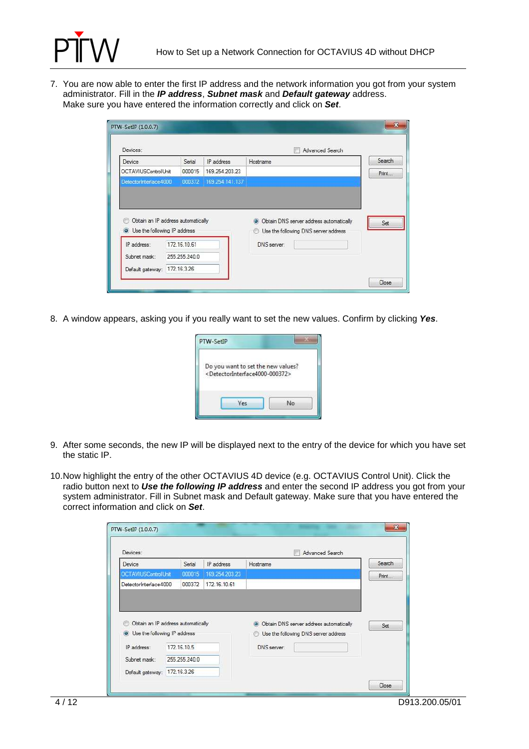

7. You are now able to enter the first IP address and the network information you got from your system administrator. Fill in the **IP address**, **Subnet mask** and **Default gateway** address. Make sure you have entered the information correctly and click on **Set**.

| Devices:                                                             |                               |                        | Advanced Search                                      |        |
|----------------------------------------------------------------------|-------------------------------|------------------------|------------------------------------------------------|--------|
| Device                                                               | Serial                        | IP address             | Hostname                                             | Search |
| OCTAVIUSControlUnit                                                  | 000015                        | 169.254.203.23         |                                                      | Print  |
| DetectorInterface4000                                                |                               | 000372 169.254.141.137 |                                                      |        |
| Obtain an IP address automatically                                   |                               |                        | Obtain DNS server address automatically<br>$\bullet$ | Set    |
| <b>O</b> Use the following IP address<br>IP address:<br>Subnet mask: | 172.16.10.61<br>255.255.240.0 |                        | Use the following DNS server address<br>DNS server:  |        |

8. A window appears, asking you if you really want to set the new values. Confirm by clicking **Yes**.

| PTW-SetIP                                                     |  |
|---------------------------------------------------------------|--|
| Do you want to set the new values?                            |  |
| <detectorinterface4000-000372></detectorinterface4000-000372> |  |

- 9. After some seconds, the new IP will be displayed next to the entry of the device for which you have set the static IP.
- 10. Now highlight the entry of the other OCTAVIUS 4D device (e.g. OCTAVIUS Control Unit). Click the radio button next to **Use the following IP address** and enter the second IP address you got from your system administrator. Fill in Subnet mask and Default gateway. Make sure that you have entered the correct information and click on **Set**.

| Devices:                                                             |               |                | Advanced Search                                                                         |        |
|----------------------------------------------------------------------|---------------|----------------|-----------------------------------------------------------------------------------------|--------|
| Device                                                               | Serial        | IP address     | Hostname                                                                                | Search |
| <b>OCTAVIUSControlUnit</b>                                           | 000015        | 169.254.203.23 |                                                                                         | Print  |
| DetectorInterface4000                                                | 000372        | 172.16.10.61   |                                                                                         |        |
| Obtain an IP address automatically<br>O Use the following IP address |               |                | O Obtain DNS server address automatically<br>Use the following DNS server address<br>O) | Set    |
| IP address:                                                          | 172.16.10.5   |                | DNS server:                                                                             |        |
| Subnet mask:                                                         | 255.255.240.0 |                |                                                                                         |        |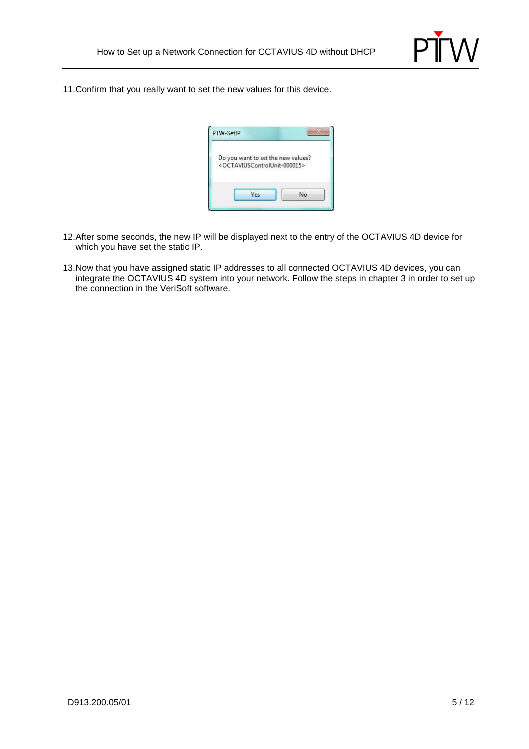

11. Confirm that you really want to set the new values for this device.

| Do you want to set the new values?                        |  |
|-----------------------------------------------------------|--|
| <octaviuscontrolunit-000015></octaviuscontrolunit-000015> |  |
|                                                           |  |

- 12. After some seconds, the new IP will be displayed next to the entry of the OCTAVIUS 4D device for which you have set the static IP.
- 13. Now that you have assigned static IP addresses to all connected OCTAVIUS 4D devices, you can integrate the OCTAVIUS 4D system into your network. Follow the steps in chapter 3 in order to set up the connection in the VeriSoft software.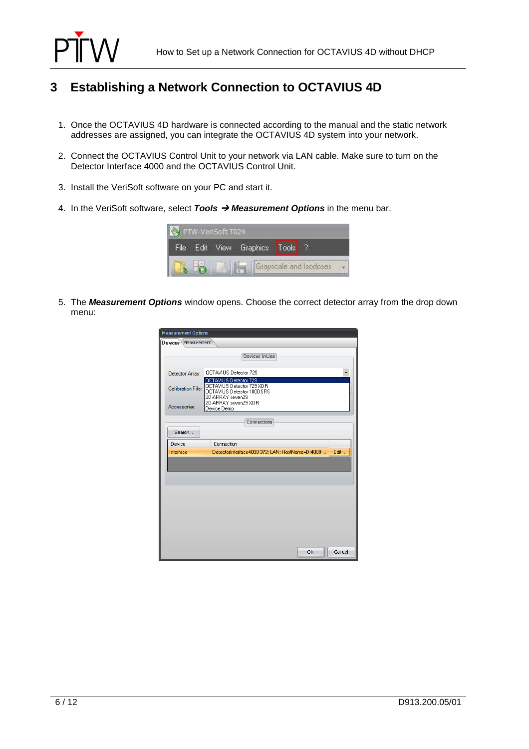

# **3 Establishing a Network Connection to OCTAVIUS 4D**

- 1. Once the OCTAVIUS 4D hardware is connected according to the manual and the static network addresses are assigned, you can integrate the OCTAVIUS 4D system into your network.
- 2. Connect the OCTAVIUS Control Unit to your network via LAN cable. Make sure to turn on the Detector Interface 4000 and the OCTAVIUS Control Unit.
- 3. Install the VeriSoft software on your PC and start it.
- 4. In the VeriSoft software, select **Tools Measurement Options** in the menu bar.

|  | <b>CVEENATIO</b> |                       |                        |  |
|--|------------------|-----------------------|------------------------|--|
|  | Tew.             | Graphics <sup>1</sup> |                        |  |
|  |                  |                       | Grayscale and Isodoses |  |

5. The **Measurement Options** window opens. Choose the correct detector array from the drop down menu:

| <b>Measurement Options</b> |                                                                             |  |  |  |  |  |
|----------------------------|-----------------------------------------------------------------------------|--|--|--|--|--|
| Devices Measurement        |                                                                             |  |  |  |  |  |
|                            | Devices InUse                                                               |  |  |  |  |  |
| Detector Array:            | OCTAVIUS Detector 729<br>٠<br>OCTAVIUS Detector 729                         |  |  |  |  |  |
| Calibration File:          | OCTAVIUS Detector 729 XDR<br>OCTAVIUS Detector 1000 SRS<br>2D-ARRAY seven29 |  |  |  |  |  |
| Accessories:               | 2D-ARRAY seven29 XDR<br>Device Demo                                         |  |  |  |  |  |
|                            | Connections                                                                 |  |  |  |  |  |
| Search                     |                                                                             |  |  |  |  |  |
| Device                     | Connection                                                                  |  |  |  |  |  |
| Interface                  | DetectorInterface4000-372; LAN; HostName=DI4000-<br>Edit                    |  |  |  |  |  |
|                            |                                                                             |  |  |  |  |  |
|                            |                                                                             |  |  |  |  |  |
|                            |                                                                             |  |  |  |  |  |
|                            |                                                                             |  |  |  |  |  |
|                            |                                                                             |  |  |  |  |  |
|                            |                                                                             |  |  |  |  |  |
|                            |                                                                             |  |  |  |  |  |
|                            |                                                                             |  |  |  |  |  |
|                            |                                                                             |  |  |  |  |  |
|                            | Ok<br>Cancel                                                                |  |  |  |  |  |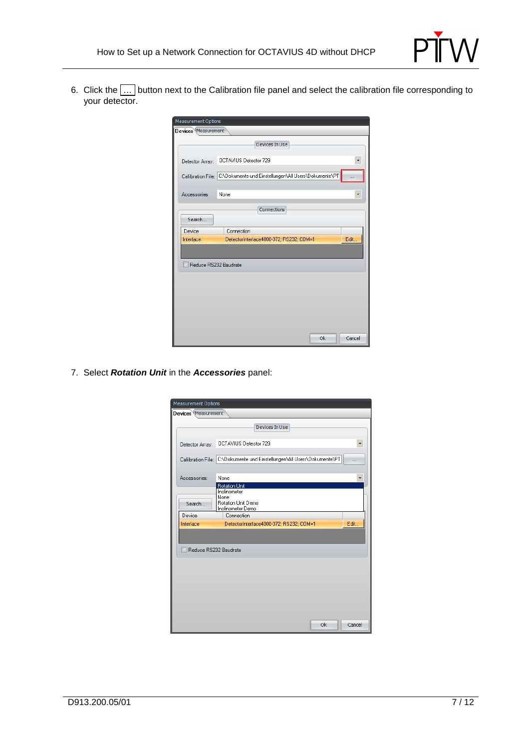

6. Click the  $|\dots|$  button next to the Calibration file panel and select the calibration file corresponding to your detector.

| Measurement Options   |                                                                         |      |  |  |  |  |  |
|-----------------------|-------------------------------------------------------------------------|------|--|--|--|--|--|
| Devices Measurement   |                                                                         |      |  |  |  |  |  |
|                       | Devices In Use                                                          |      |  |  |  |  |  |
|                       |                                                                         |      |  |  |  |  |  |
| Detector Array:       | OCTAVIUS Detector 729                                                   |      |  |  |  |  |  |
|                       | Calibration File: C:\Dokumente und Einstellungen\All Users\Dokumente\PT |      |  |  |  |  |  |
|                       |                                                                         |      |  |  |  |  |  |
| Accessories:          | None                                                                    |      |  |  |  |  |  |
|                       | Connections                                                             |      |  |  |  |  |  |
| Search                |                                                                         |      |  |  |  |  |  |
| Device                | Connection                                                              |      |  |  |  |  |  |
| Interface             | DetectorInterface4000-372; RS232; COM=1                                 | Edit |  |  |  |  |  |
|                       |                                                                         |      |  |  |  |  |  |
| Reduce RS232 Baudrate |                                                                         |      |  |  |  |  |  |
|                       |                                                                         |      |  |  |  |  |  |
|                       |                                                                         |      |  |  |  |  |  |
|                       |                                                                         |      |  |  |  |  |  |
|                       |                                                                         |      |  |  |  |  |  |
|                       |                                                                         |      |  |  |  |  |  |
|                       |                                                                         |      |  |  |  |  |  |
|                       |                                                                         |      |  |  |  |  |  |

7. Select **Rotation Unit** in the **Accessories** panel:

| <b>Measurement Options</b> |                                                                             |        |  |  |  |  |  |
|----------------------------|-----------------------------------------------------------------------------|--------|--|--|--|--|--|
| Devices Measurement        |                                                                             |        |  |  |  |  |  |
|                            | Devices InUse                                                               |        |  |  |  |  |  |
| Detector Array:            | OCTAVIUS Detector 729                                                       |        |  |  |  |  |  |
|                            | Calibration File: C:\Dokumente und Einstellungen\All Users\Dokumente\PT<br> |        |  |  |  |  |  |
| Accessories:               | None<br><b>Rotation Unit</b>                                                |        |  |  |  |  |  |
| Search                     | Inclinometer<br>None<br>Rotation Unit Demo<br>Inclinometer Demo             |        |  |  |  |  |  |
| Device                     | Connection                                                                  |        |  |  |  |  |  |
| Interface                  | DetectorInterface4000-372; RS232; COM=1                                     | Edit   |  |  |  |  |  |
|                            |                                                                             |        |  |  |  |  |  |
| Reduce RS232 Baudrate      |                                                                             |        |  |  |  |  |  |
|                            | Ok.                                                                         | Cancel |  |  |  |  |  |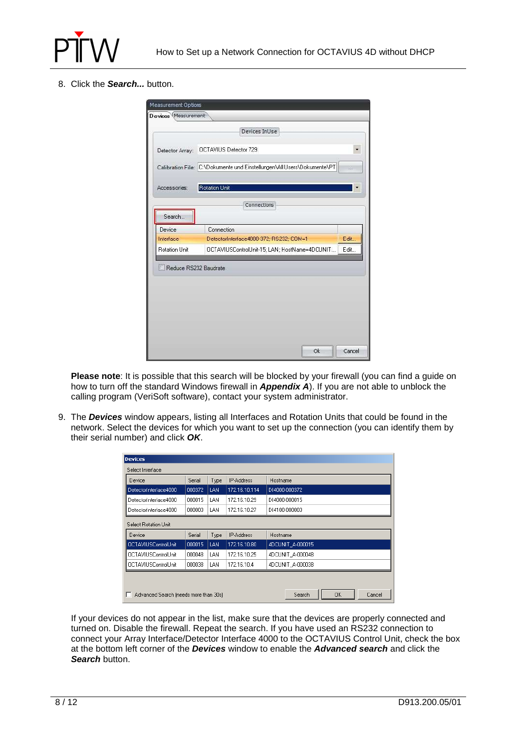

8. Click the **Search...** button.

|                       | Devices In Use                                                               |      |  |  |  |  |  |
|-----------------------|------------------------------------------------------------------------------|------|--|--|--|--|--|
| Detector Array:       | OCTAVIUS Detector 729                                                        |      |  |  |  |  |  |
|                       | Calibration File: C:\Dokumente und Einstellungen\All Users\Dokumente\PT<br>W |      |  |  |  |  |  |
| Accessories:          | <b>Rotation Unit</b>                                                         |      |  |  |  |  |  |
|                       | Connections                                                                  |      |  |  |  |  |  |
| Search                |                                                                              |      |  |  |  |  |  |
| Device                | Connection                                                                   |      |  |  |  |  |  |
| Interface             | DetectorInterface4000-372: RS232: COM=1                                      | Edit |  |  |  |  |  |
| Rotation Unit         | OCTAVIUSControlUnit-15; LAN; HostName=4DCUNIT   Edit                         |      |  |  |  |  |  |
| Reduce RS232 Baudrate |                                                                              |      |  |  |  |  |  |
|                       |                                                                              |      |  |  |  |  |  |
|                       |                                                                              |      |  |  |  |  |  |
|                       |                                                                              |      |  |  |  |  |  |
|                       |                                                                              |      |  |  |  |  |  |
|                       |                                                                              |      |  |  |  |  |  |
|                       |                                                                              |      |  |  |  |  |  |

**Please note**: It is possible that this search will be blocked by your firewall (you can find a guide on how to turn off the standard Windows firewall in **Appendix A**). If you are not able to unblock the calling program (VeriSoft software), contact your system administrator.

9. The **Devices** window appears, listing all Interfaces and Rotation Units that could be found in the network. Select the devices for which you want to set up the connection (you can identify them by their serial number) and click **OK**.

| <b>Devices</b>                        |        |      |                   |                        |  |  |  |
|---------------------------------------|--------|------|-------------------|------------------------|--|--|--|
| Select Interface                      |        |      |                   |                        |  |  |  |
| Device                                | Serial | Type | IP-Address        | Hostname               |  |  |  |
| DetectorInterface4000                 | 000372 | LAN  | 172.16.10.114     | D14000-000372          |  |  |  |
| DetectorInterface4000                 | 000015 | LAN. | 172.16.10.29      | D14000-000015          |  |  |  |
| DetectorInterface4000                 | 000003 | LAN  | 172.16.10.27      | D14100-000003          |  |  |  |
| Select Rotation Unit                  |        |      |                   |                        |  |  |  |
| Device                                | Serial | Type | <b>IP-Address</b> | Hostname               |  |  |  |
| OCTAVIUSControlUnit                   | 000015 | LAN  | 172.16.10.80      | 4DCUNIT A-000015       |  |  |  |
| <b>OCTAVIUSControlUnit</b>            | 000048 | LAN  | 172.16.10.25      | 4DCUNIT A-000048       |  |  |  |
| <b>OCTAVIUSControlUnit</b>            | 000038 | LAN  | 172.16.10.4       | 4DCUNIT A-000038       |  |  |  |
|                                       |        |      |                   |                        |  |  |  |
| Advanced Search (needs more than 30s) |        |      |                   | 0K<br>Search<br>Cancel |  |  |  |

If your devices do not appear in the list, make sure that the devices are properly connected and turned on. Disable the firewall. Repeat the search. If you have used an RS232 connection to connect your Array Interface/Detector Interface 4000 to the OCTAVIUS Control Unit, check the box at the bottom left corner of the **Devices** window to enable the **Advanced search** and click the **Search** button.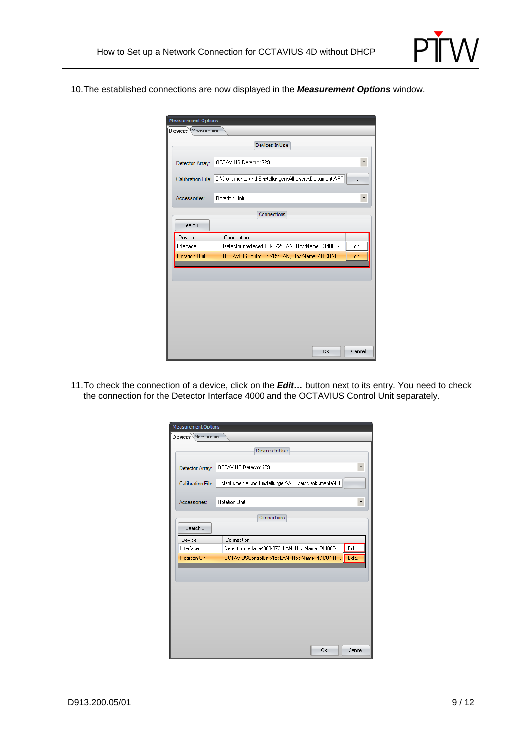

10. The established connections are now displayed in the **Measurement Options** window.

| <b>Measurement Options</b>                                                    |        |  |  |
|-------------------------------------------------------------------------------|--------|--|--|
| Devices Measurement                                                           |        |  |  |
| Devices InUse                                                                 |        |  |  |
| OCTAVIUS Detector 729<br>Detector Array:                                      |        |  |  |
| Calibration File: C:\Dokumente und Einstellungen\All Users\Dokumente\PT       |        |  |  |
| <b>Rotation Unit</b><br>Accessories:                                          | ٠      |  |  |
| Connections                                                                   |        |  |  |
| Search                                                                        |        |  |  |
| Device<br>Connection                                                          |        |  |  |
| Edit<br>Interface<br>DetectorInterface4000-372; LAN; HostName=DI4000-         |        |  |  |
| Edit<br><b>Rotation Unit</b><br>OCTAVIUSControlUnit-15; LAN; HostName=4DCUNIT |        |  |  |
|                                                                               |        |  |  |
|                                                                               |        |  |  |
|                                                                               |        |  |  |
|                                                                               |        |  |  |
|                                                                               |        |  |  |
|                                                                               |        |  |  |
|                                                                               |        |  |  |
| Ok                                                                            | Cancel |  |  |

11. To check the connection of a device, click on the **Edit…** button next to its entry. You need to check the connection for the Detector Interface 4000 and the OCTAVIUS Control Unit separately.

| <b>Measurement Options</b> |                                                                                      |
|----------------------------|--------------------------------------------------------------------------------------|
| Devices Measurement        |                                                                                      |
|                            | Devices InUse                                                                        |
|                            |                                                                                      |
| Detector Array:            | OCTAVIUS Detector 729<br>٠                                                           |
|                            | Calibration File: C:\Dokumente und Einstellungen\All Users\Dokumente\PT<br>$\ddotsc$ |
| Accessories:               | <b>Rotation Unit</b><br>T                                                            |
|                            | Connections                                                                          |
| Search                     |                                                                                      |
| Device                     | Connection                                                                           |
| Interface                  | Edit<br>DetectorInterface4000-372; LAN; HostName=DI4000-                             |
| <b>Rotation Unit</b>       | Edit<br>OCTAVIUSControlUnit-15; LAN; HostName=4DCUNIT                                |
|                            |                                                                                      |
|                            |                                                                                      |
|                            |                                                                                      |
|                            |                                                                                      |
|                            |                                                                                      |
|                            |                                                                                      |
|                            |                                                                                      |
|                            | 0k<br>Cancel                                                                         |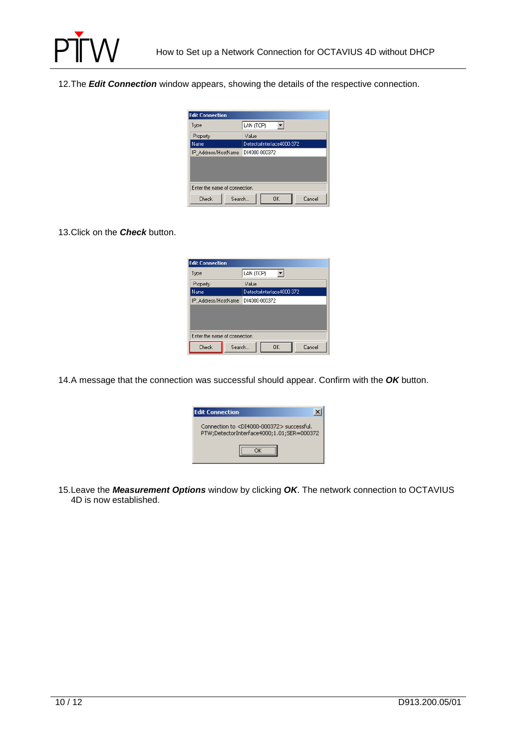

12. The **Edit Connection** window appears, showing the details of the respective connection.



#### 13. Click on the **Check** button.

| <b>Edit Connection</b>        |                           |  |  |  |
|-------------------------------|---------------------------|--|--|--|
| Type                          | LAN (TCP)                 |  |  |  |
| Property                      | Value                     |  |  |  |
| Name                          | DetectorInterface4000-372 |  |  |  |
| IP Address/HostName           | D14000-000372             |  |  |  |
|                               |                           |  |  |  |
|                               |                           |  |  |  |
|                               |                           |  |  |  |
| Enter the name of connection. |                           |  |  |  |
| Check<br>Search               | OK<br>Cancel              |  |  |  |

14. A message that the connection was successful should appear. Confirm with the **OK** button.

| <b>Edit Connection</b>                                                                                  |  |
|---------------------------------------------------------------------------------------------------------|--|
| Connection to <di4000-000372> successful.<br/>PTW;DetectorInterface4000;1.01;SER=000372</di4000-000372> |  |
|                                                                                                         |  |

15. Leave the **Measurement Options** window by clicking **OK**. The network connection to OCTAVIUS 4D is now established.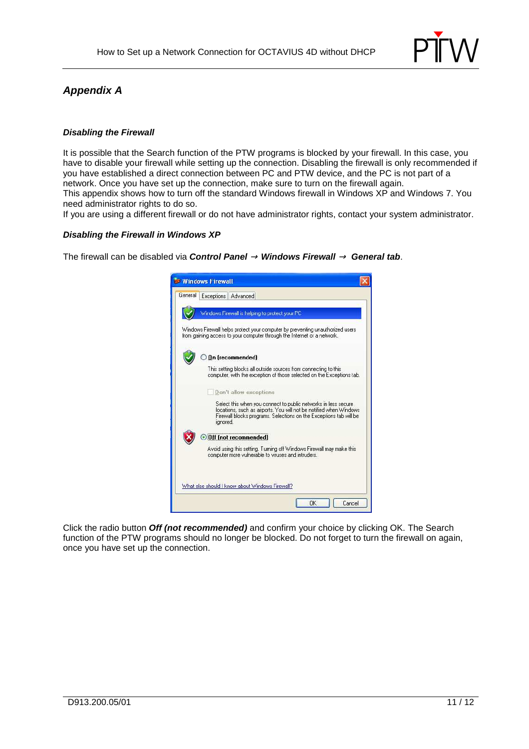

### **Appendix A**

#### **Disabling the Firewall**

It is possible that the Search function of the PTW programs is blocked by your firewall. In this case, you have to disable your firewall while setting up the connection. Disabling the firewall is only recommended if you have established a direct connection between PC and PTW device, and the PC is not part of a network. Once you have set up the connection, make sure to turn on the firewall again. This appendix shows how to turn off the standard Windows firewall in Windows XP and Windows 7. You need administrator rights to do so.

If you are using a different firewall or do not have administrator rights, contact your system administrator.

#### **Disabling the Firewall in Windows XP**

The firewall can be disabled via **Control Panel** <sup>→</sup> **Windows Firewall** <sup>→</sup>**General tab**.



Click the radio button **Off (not recommended)** and confirm your choice by clicking OK. The Search function of the PTW programs should no longer be blocked. Do not forget to turn the firewall on again, once you have set up the connection.